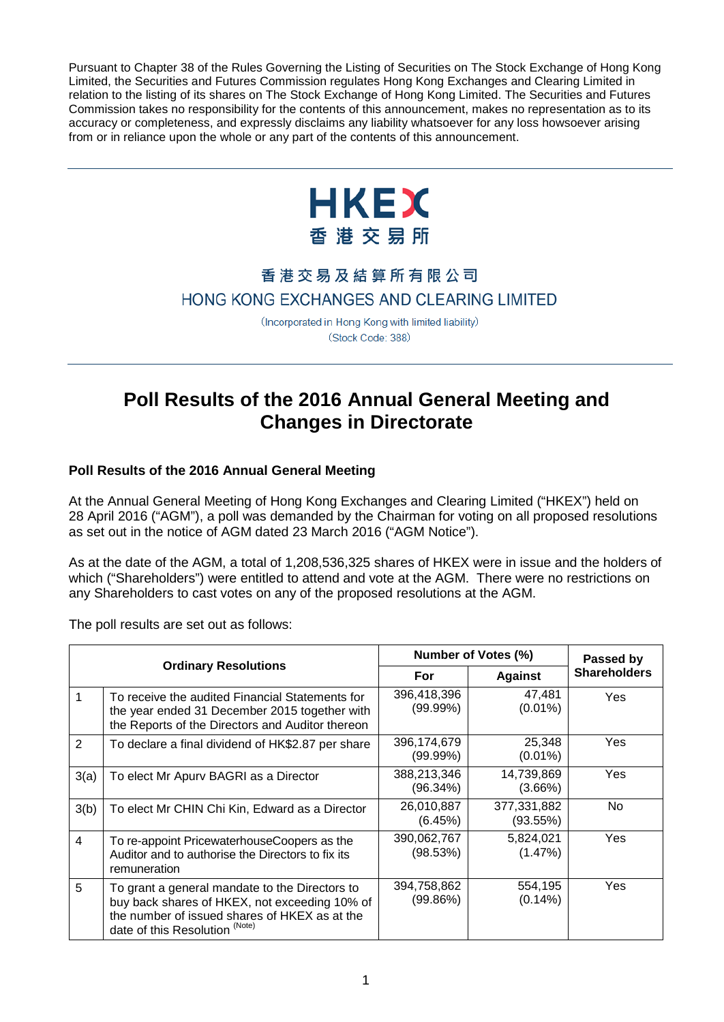Pursuant to Chapter 38 of the Rules Governing the Listing of Securities on The Stock Exchange of Hong Kong Limited, the Securities and Futures Commission regulates Hong Kong Exchanges and Clearing Limited in relation to the listing of its shares on The Stock Exchange of Hong Kong Limited. The Securities and Futures Commission takes no responsibility for the contents of this announcement, makes no representation as to its accuracy or completeness, and expressly disclaims any liability whatsoever for any loss howsoever arising from or in reliance upon the whole or any part of the contents of this announcement.



# 香港交易及結算所有限公司

HONG KONG EXCHANGES AND CLEARING LIMITED

(Incorporated in Hong Kong with limited liability) (Stock Code: 388)

## **Poll Results of the 2016 Annual General Meeting and Changes in Directorate**

#### **Poll Results of the 2016 Annual General Meeting**

At the Annual General Meeting of Hong Kong Exchanges and Clearing Limited ("HKEX") held on 28 April 2016 ("AGM"), a poll was demanded by the Chairman for voting on all proposed resolutions as set out in the notice of AGM dated 23 March 2016 ("AGM Notice").

As at the date of the AGM, a total of 1,208,536,325 shares of HKEX were in issue and the holders of which ("Shareholders") were entitled to attend and vote at the AGM. There were no restrictions on any Shareholders to cast votes on any of the proposed resolutions at the AGM.

The poll results are set out as follows:

| <b>Ordinary Resolutions</b> |                                                                                                                                                                                    | <b>Number of Votes (%)</b> |                         | Passed by           |
|-----------------------------|------------------------------------------------------------------------------------------------------------------------------------------------------------------------------------|----------------------------|-------------------------|---------------------|
|                             |                                                                                                                                                                                    | For                        | <b>Against</b>          | <b>Shareholders</b> |
| 1                           | To receive the audited Financial Statements for<br>the year ended 31 December 2015 together with<br>the Reports of the Directors and Auditor thereon                               | 396,418,396<br>(99.99%)    | 47,481<br>$(0.01\%)$    | Yes                 |
| $\overline{2}$              | To declare a final dividend of HK\$2.87 per share                                                                                                                                  | 396,174,679<br>(99.99%)    | 25,348<br>$(0.01\%)$    | Yes                 |
| 3(a)                        | To elect Mr Apurv BAGRI as a Director                                                                                                                                              | 388,213,346<br>(96.34%)    | 14,739,869<br>(3.66%)   | Yes                 |
| 3(b)                        | To elect Mr CHIN Chi Kin, Edward as a Director                                                                                                                                     | 26,010,887<br>(6.45%)      | 377,331,882<br>(93.55%) | No.                 |
| $\overline{4}$              | To re-appoint PricewaterhouseCoopers as the<br>Auditor and to authorise the Directors to fix its<br>remuneration                                                                   | 390,062,767<br>(98.53%)    | 5,824,021<br>(1.47%)    | Yes                 |
| 5                           | To grant a general mandate to the Directors to<br>buy back shares of HKEX, not exceeding 10% of<br>the number of issued shares of HKEX as at the<br>date of this Resolution (Note) | 394,758,862<br>(99.86%)    | 554,195<br>$(0.14\%)$   | Yes                 |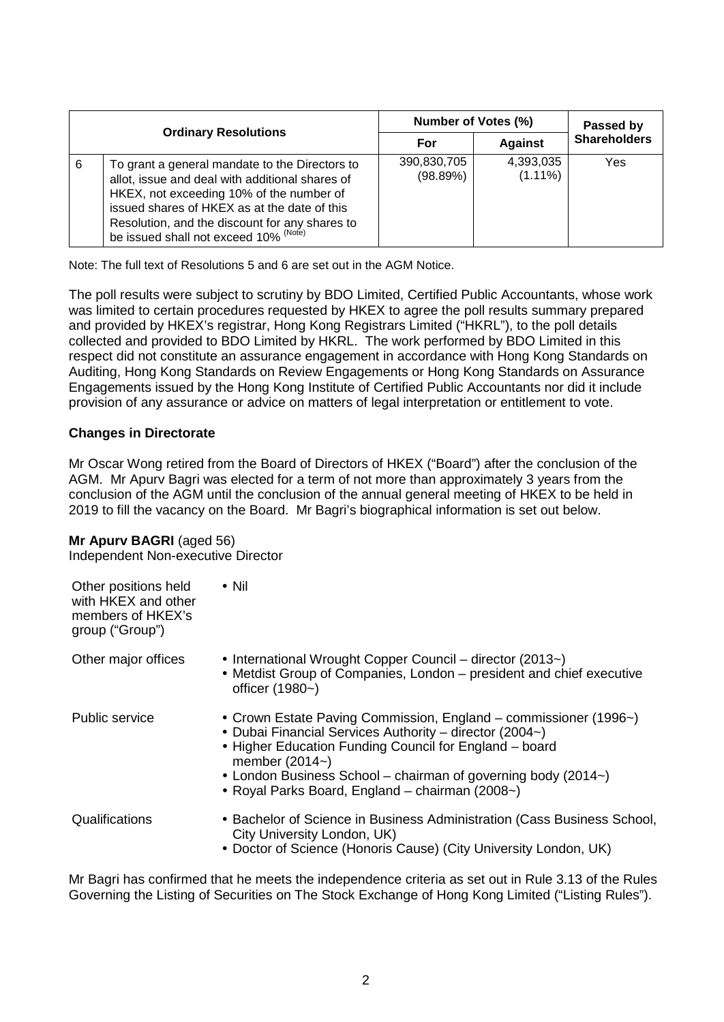| <b>Ordinary Resolutions</b> |                                                                                                                                                                                                                                                                                          | Number of Votes (%)     |                         | Passed by           |
|-----------------------------|------------------------------------------------------------------------------------------------------------------------------------------------------------------------------------------------------------------------------------------------------------------------------------------|-------------------------|-------------------------|---------------------|
|                             |                                                                                                                                                                                                                                                                                          | For                     | <b>Against</b>          | <b>Shareholders</b> |
| 6                           | To grant a general mandate to the Directors to<br>allot, issue and deal with additional shares of<br>HKEX, not exceeding 10% of the number of<br>issued shares of HKEX as at the date of this<br>Resolution, and the discount for any shares to<br>be issued shall not exceed 10% (Note) | 390,830,705<br>(98.89%) | 4,393,035<br>$(1.11\%)$ | <b>Yes</b>          |

Note: The full text of Resolutions 5 and 6 are set out in the AGM Notice.

The poll results were subject to scrutiny by BDO Limited, Certified Public Accountants, whose work was limited to certain procedures requested by HKEX to agree the poll results summary prepared and provided by HKEX's registrar, Hong Kong Registrars Limited ("HKRL"), to the poll details collected and provided to BDO Limited by HKRL. The work performed by BDO Limited in this respect did not constitute an assurance engagement in accordance with Hong Kong Standards on Auditing, Hong Kong Standards on Review Engagements or Hong Kong Standards on Assurance Engagements issued by the Hong Kong Institute of Certified Public Accountants nor did it include provision of any assurance or advice on matters of legal interpretation or entitlement to vote.

### **Changes in Directorate**

Mr Oscar Wong retired from the Board of Directors of HKEX ("Board") after the conclusion of the AGM. Mr Apurv Bagri was elected for a term of not more than approximately 3 years from the conclusion of the AGM until the conclusion of the annual general meeting of HKEX to be held in 2019 to fill the vacancy on the Board. Mr Bagri's biographical information is set out below.

#### **Mr Apurv BAGRI** (aged 56)

Independent Non-executive Director

| Other positions held<br>with HKEX and other<br>members of HKEX's<br>group ("Group") | $\cdot$ Nil                                                                                                                                                                                                                                                                                                                   |
|-------------------------------------------------------------------------------------|-------------------------------------------------------------------------------------------------------------------------------------------------------------------------------------------------------------------------------------------------------------------------------------------------------------------------------|
| Other major offices                                                                 | • International Wrought Copper Council – director (2013~)<br>• Metdist Group of Companies, London – president and chief executive<br>officer $(1980)$                                                                                                                                                                         |
| <b>Public service</b>                                                               | • Crown Estate Paving Commission, England – commissioner (1996~)<br>• Dubai Financial Services Authority – director (2004~)<br>• Higher Education Funding Council for England – board<br>member $(2014-)$<br>• London Business School – chairman of governing body (2014~)<br>• Royal Parks Board, England – chairman (2008~) |
| Qualifications                                                                      | • Bachelor of Science in Business Administration (Cass Business School,<br>City University London, UK)<br>• Doctor of Science (Honoris Cause) (City University London, UK)                                                                                                                                                    |

Mr Bagri has confirmed that he meets the independence criteria as set out in Rule 3.13 of the Rules Governing the Listing of Securities on The Stock Exchange of Hong Kong Limited ("Listing Rules").